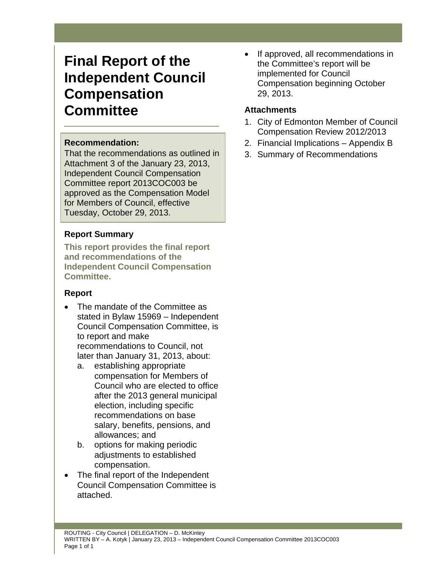# **Final Report of the Independent Council Compensation Committee**

### **Recommendation:**

That the recommendations as outlined in Attachment 3 of the January 23, 2013, Independent Council Compensation Committee report 2013COC003 be approved as the Compensation Model for Members of Council, effective Tuesday, October 29, 2013.

## **Report Summary**

**This report provides the final report and recommendations of the Independent Council Compensation Committee.** 

#### **Report**

- The mandate of the Committee as stated in Bylaw 15969 – Independent Council Compensation Committee, is to report and make recommendations to Council, not later than January 31, 2013, about:
	- a. establishing appropriate compensation for Members of Council who are elected to office after the 2013 general municipal election, including specific recommendations on base salary, benefits, pensions, and allowances; and
	- b. options for making periodic adjustments to established compensation.
- The final report of the Independent Council Compensation Committee is attached.

• If approved, all recommendations in the Committee's report will be implemented for Council Compensation beginning October 29, 2013.

### **Attachments**

- 1. City of Edmonton Member of Council Compensation Review 2012/2013
- 2. Financial Implications Appendix B
- 3. Summary of Recommendations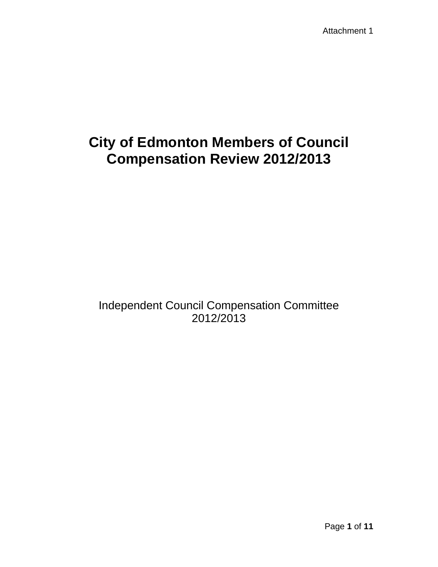# **City of Edmonton Members of Council Compensation Review 2012/2013**

## Independent Council Compensation Committee 2012/2013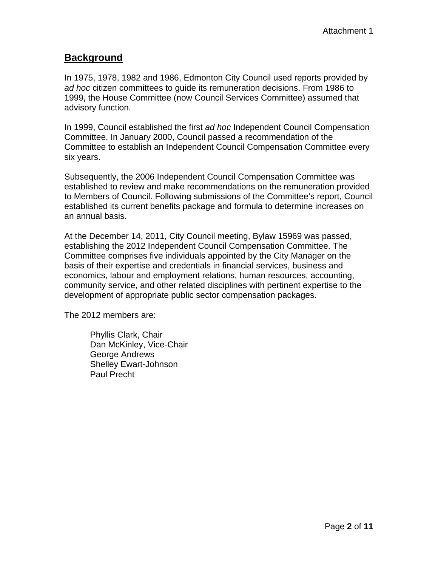## **Background**

In 1975, 1978, 1982 and 1986, Edmonton City Council used reports provided by *ad hoc* citizen committees to guide its remuneration decisions. From 1986 to 1999, the House Committee (now Council Services Committee) assumed that advisory function.

In 1999, Council established the first *ad hoc* Independent Council Compensation Committee. In January 2000, Council passed a recommendation of the Committee to establish an Independent Council Compensation Committee every six years.

Subsequently, the 2006 Independent Council Compensation Committee was established to review and make recommendations on the remuneration provided to Members of Council. Following submissions of the Committee's report, Council established its current benefits package and formula to determine increases on an annual basis.

At the December 14, 2011, City Council meeting, Bylaw 15969 was passed, establishing the 2012 Independent Council Compensation Committee. The Committee comprises five individuals appointed by the City Manager on the basis of their expertise and credentials in financial services, business and economics, labour and employment relations, human resources, accounting, community service, and other related disciplines with pertinent expertise to the development of appropriate public sector compensation packages.

The 2012 members are:

 Phyllis Clark, Chair Dan McKinley, Vice-Chair George Andrews Shelley Ewart-Johnson Paul Precht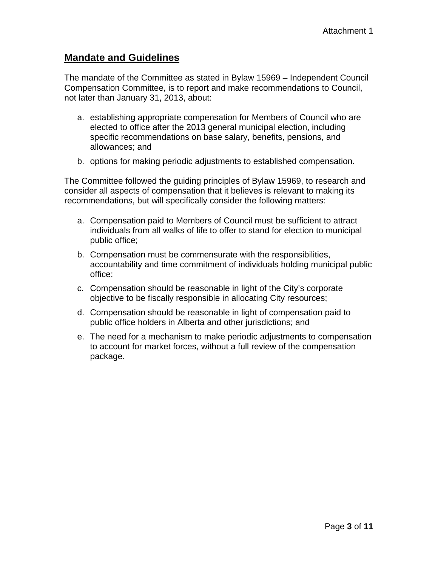## **Mandate and Guidelines**

The mandate of the Committee as stated in Bylaw 15969 – Independent Council Compensation Committee, is to report and make recommendations to Council, not later than January 31, 2013, about:

- a. establishing appropriate compensation for Members of Council who are elected to office after the 2013 general municipal election, including specific recommendations on base salary, benefits, pensions, and allowances; and
- b. options for making periodic adjustments to established compensation.

The Committee followed the guiding principles of Bylaw 15969, to research and consider all aspects of compensation that it believes is relevant to making its recommendations, but will specifically consider the following matters:

- a. Compensation paid to Members of Council must be sufficient to attract individuals from all walks of life to offer to stand for election to municipal public office;
- b. Compensation must be commensurate with the responsibilities, accountability and time commitment of individuals holding municipal public office;
- c. Compensation should be reasonable in light of the City's corporate objective to be fiscally responsible in allocating City resources;
- d. Compensation should be reasonable in light of compensation paid to public office holders in Alberta and other jurisdictions; and
- e. The need for a mechanism to make periodic adjustments to compensation to account for market forces, without a full review of the compensation package.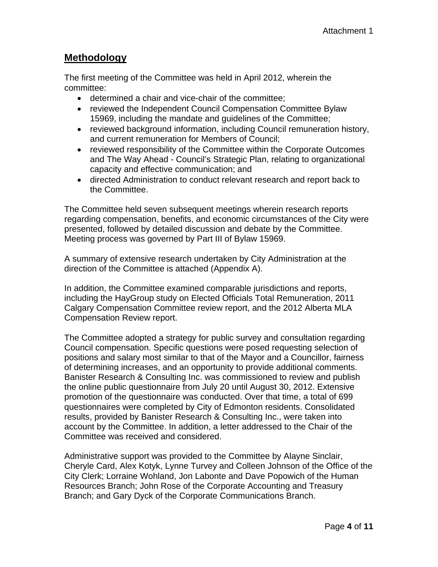## **Methodology**

The first meeting of the Committee was held in April 2012, wherein the committee:

- determined a chair and vice-chair of the committee;
- reviewed the Independent Council Compensation Committee Bylaw 15969, including the mandate and guidelines of the Committee;
- reviewed background information, including Council remuneration history, and current remuneration for Members of Council;
- reviewed responsibility of the Committee within the Corporate Outcomes and The Way Ahead - Council's Strategic Plan, relating to organizational capacity and effective communication; and
- directed Administration to conduct relevant research and report back to the Committee.

The Committee held seven subsequent meetings wherein research reports regarding compensation, benefits, and economic circumstances of the City were presented, followed by detailed discussion and debate by the Committee. Meeting process was governed by Part III of Bylaw 15969.

A summary of extensive research undertaken by City Administration at the direction of the Committee is attached (Appendix A).

In addition, the Committee examined comparable jurisdictions and reports, including the HayGroup study on Elected Officials Total Remuneration, 2011 Calgary Compensation Committee review report, and the 2012 Alberta MLA Compensation Review report.

The Committee adopted a strategy for public survey and consultation regarding Council compensation. Specific questions were posed requesting selection of positions and salary most similar to that of the Mayor and a Councillor, fairness of determining increases, and an opportunity to provide additional comments. Banister Research & Consulting Inc. was commissioned to review and publish the online public questionnaire from July 20 until August 30, 2012. Extensive promotion of the questionnaire was conducted. Over that time, a total of 699 questionnaires were completed by City of Edmonton residents. Consolidated results, provided by Banister Research & Consulting Inc., were taken into account by the Committee. In addition, a letter addressed to the Chair of the Committee was received and considered.

Administrative support was provided to the Committee by Alayne Sinclair, Cheryle Card, Alex Kotyk, Lynne Turvey and Colleen Johnson of the Office of the City Clerk; Lorraine Wohland, Jon Labonte and Dave Popowich of the Human Resources Branch; John Rose of the Corporate Accounting and Treasury Branch; and Gary Dyck of the Corporate Communications Branch.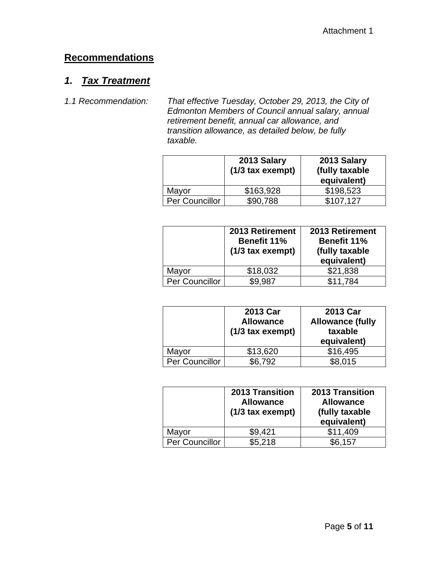## **Recommendations**

## *1. Tax Treatment*

*1.1 Recommendation: That effective Tuesday, October 29, 2013, the City of Edmonton Members of Council annual salary, annual retirement benefit, annual car allowance, and transition allowance, as detailed below, be fully taxable.* 

|                | 2013 Salary<br>(1/3 tax exempt) | 2013 Salary<br>(fully taxable<br>equivalent) |
|----------------|---------------------------------|----------------------------------------------|
| Mayor          | \$163,928                       | \$198,523                                    |
| Per Councillor | \$90,788                        | \$107,127                                    |

|                | 2013 Retirement<br><b>Benefit 11%</b><br>$(1/3$ tax exempt) | 2013 Retirement<br><b>Benefit 11%</b><br>(fully taxable<br>equivalent) |
|----------------|-------------------------------------------------------------|------------------------------------------------------------------------|
| Mayor          | \$18,032                                                    | \$21,838                                                               |
| Per Councillor | \$9.987                                                     | \$11,784                                                               |

|                | 2013 Car<br><b>Allowance</b><br>$(1/3$ tax exempt) | 2013 Car<br><b>Allowance (fully</b><br>taxable<br>equivalent) |
|----------------|----------------------------------------------------|---------------------------------------------------------------|
| Mayor          | \$13,620                                           | \$16,495                                                      |
| Per Councillor | \$6,792                                            | \$8,015                                                       |

|                | <b>2013 Transition</b><br><b>Allowance</b><br>$(1/3$ tax exempt) | <b>2013 Transition</b><br><b>Allowance</b><br>(fully taxable<br>equivalent) |
|----------------|------------------------------------------------------------------|-----------------------------------------------------------------------------|
| Mayor          | \$9,421                                                          | \$11,409                                                                    |
| Per Councillor | \$5,218                                                          | \$6,157                                                                     |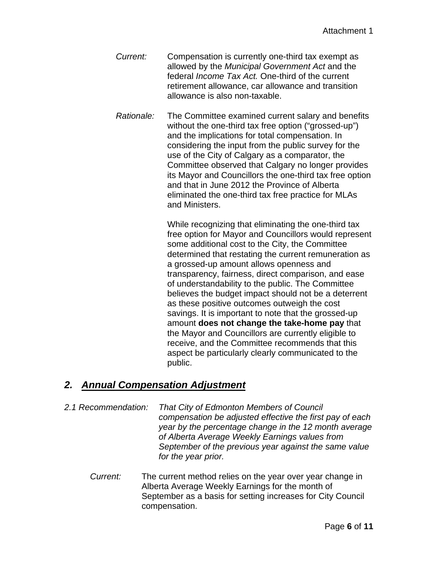*Current:* Compensation is currently one-third tax exempt as allowed by the *Municipal Government Act* and the federal *Income Tax Act.* One-third of the current retirement allowance, car allowance and transition allowance is also non-taxable.

*Rationale:* The Committee examined current salary and benefits without the one-third tax free option ("grossed-up") and the implications for total compensation. In considering the input from the public survey for the use of the City of Calgary as a comparator, the Committee observed that Calgary no longer provides its Mayor and Councillors the one-third tax free option and that in June 2012 the Province of Alberta eliminated the one-third tax free practice for MLAs and Ministers.

> While recognizing that eliminating the one-third tax free option for Mayor and Councillors would represent some additional cost to the City, the Committee determined that restating the current remuneration as a grossed-up amount allows openness and transparency, fairness, direct comparison, and ease of understandability to the public. The Committee believes the budget impact should not be a deterrent as these positive outcomes outweigh the cost savings. It is important to note that the grossed-up amount **does not change the take-home pay** that the Mayor and Councillors are currently eligible to receive, and the Committee recommends that this aspect be particularly clearly communicated to the public.

## *2. Annual Compensation Adjustment*

- *2.1 Recommendation: That City of Edmonton Members of Council compensation be adjusted effective the first pay of each year by the percentage change in the 12 month average of Alberta Average Weekly Earnings values from September of the previous year against the same value for the year prior.* 
	- *Current:* The current method relies on the year over year change in Alberta Average Weekly Earnings for the month of September as a basis for setting increases for City Council compensation.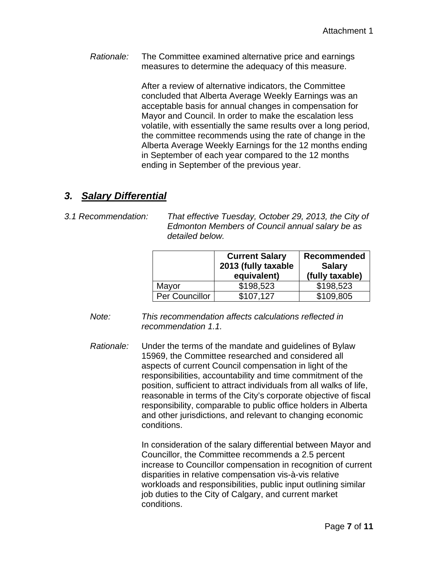*Rationale:* The Committee examined alternative price and earnings measures to determine the adequacy of this measure.

> After a review of alternative indicators, the Committee concluded that Alberta Average Weekly Earnings was an acceptable basis for annual changes in compensation for Mayor and Council. In order to make the escalation less volatile, with essentially the same results over a long period, the committee recommends using the rate of change in the Alberta Average Weekly Earnings for the 12 months ending in September of each year compared to the 12 months ending in September of the previous year.

## *3. Salary Differential*

- 
- *3.1 Recommendation: That effective Tuesday, October 29, 2013, the City of Edmonton Members of Council annual salary be as detailed below.*

|                | <b>Current Salary</b><br>2013 (fully taxable<br>equivalent) | Recommended<br><b>Salary</b><br>(fully taxable) |
|----------------|-------------------------------------------------------------|-------------------------------------------------|
| Mayor          | \$198,523                                                   | \$198,523                                       |
| Per Councillor | \$107.127                                                   | \$109,805                                       |

- *Note: This recommendation affects calculations reflected in recommendation 1.1.*
- *Rationale:* Under the terms of the mandate and guidelines of Bylaw 15969, the Committee researched and considered all aspects of current Council compensation in light of the responsibilities, accountability and time commitment of the position, sufficient to attract individuals from all walks of life, reasonable in terms of the City's corporate objective of fiscal responsibility, comparable to public office holders in Alberta and other jurisdictions, and relevant to changing economic conditions.

 In consideration of the salary differential between Mayor and Councillor, the Committee recommends a 2.5 percent increase to Councillor compensation in recognition of current disparities in relative compensation vis-à-vis relative workloads and responsibilities, public input outlining similar job duties to the City of Calgary, and current market conditions.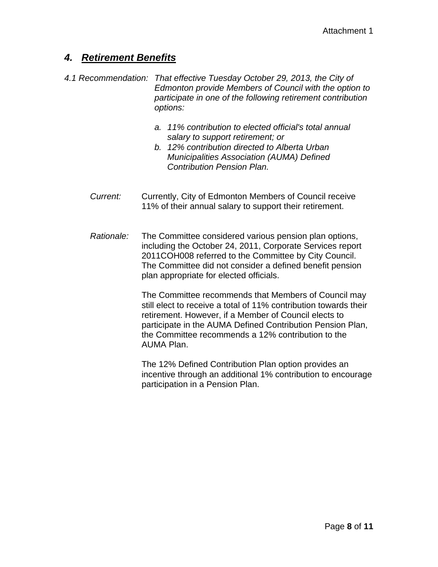## *4. Retirement Benefits*

- *4.1 Recommendation: That effective Tuesday October 29, 2013, the City of Edmonton provide Members of Council with the option to participate in one of the following retirement contribution options:* 
	- *a. 11% contribution to elected official's total annual salary to support retirement; or*
	- *b. 12% contribution directed to Alberta Urban Municipalities Association (AUMA) Defined Contribution Pension Plan.*
	- *Current:* Currently, City of Edmonton Members of Council receive 11% of their annual salary to support their retirement.
	- *Rationale:* The Committee considered various pension plan options, including the October 24, 2011, Corporate Services report 2011COH008 referred to the Committee by City Council. The Committee did not consider a defined benefit pension plan appropriate for elected officials.

The Committee recommends that Members of Council may still elect to receive a total of 11% contribution towards their retirement. However, if a Member of Council elects to participate in the AUMA Defined Contribution Pension Plan, the Committee recommends a 12% contribution to the AUMA Plan.

The 12% Defined Contribution Plan option provides an incentive through an additional 1% contribution to encourage participation in a Pension Plan.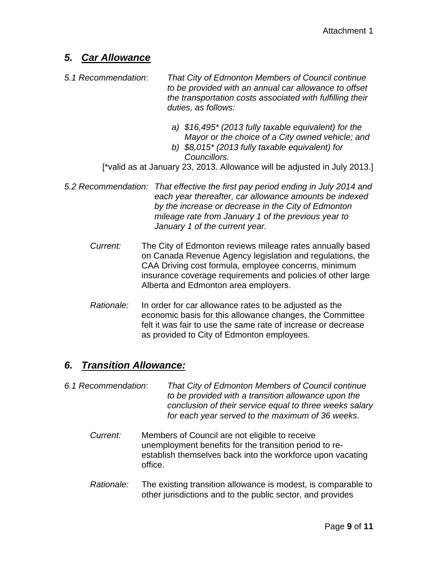## *5. Car Allowance*

- *5.1 Recommendation*: *That City of Edmonton Members of Council continue to be provided with an annual car allowance to offset the transportation costs associated with fulfilling their duties, as follows:* 
	- *a) \$16,495\* (2013 fully taxable equivalent) for the Mayor or the choice of a City owned vehicle; and*
	- *b) \$8,015\* (2013 fully taxable equivalent) for Councillors.*

[\*valid as at January 23, 2013. Allowance will be adjusted in July 2013.]

- *5.2 Recommendation: That effective the first pay period ending in July 2014 and each year thereafter, car allowance amounts be indexed by the increase or decrease in the City of Edmonton mileage rate from January 1 of the previous year to January 1 of the current year.* 
	- *Current:* The City of Edmonton reviews mileage rates annually based on Canada Revenue Agency legislation and regulations, the CAA Driving cost formula, employee concerns, minimum insurance coverage requirements and policies of other large Alberta and Edmonton area employers.
	- *Rationale:* In order for car allowance rates to be adjusted as the economic basis for this allowance changes, the Committee felt it was fair to use the same rate of increase or decrease as provided to City of Edmonton employees.

## *6. Transition Allowance:*

- *6.1 Recommendation*: *That City of Edmonton Members of Council continue to be provided with a transition allowance upon the conclusion of their service equal to three weeks salary for each year served to the maximum of 36 weeks.*
	- *Current:* Members of Council are not eligible to receive unemployment benefits for the transition period to reestablish themselves back into the workforce upon vacating office.
	- *Rationale:* The existing transition allowance is modest, is comparable to other jurisdictions and to the public sector, and provides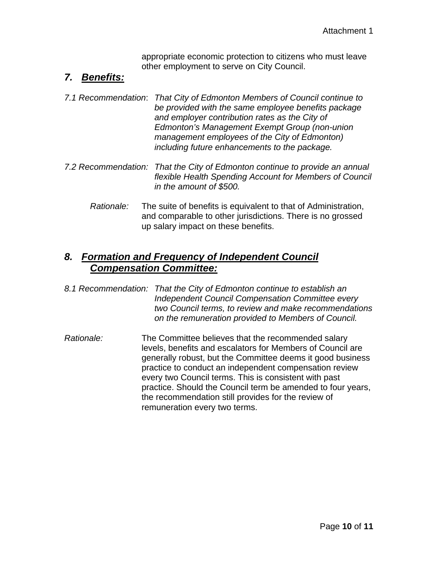appropriate economic protection to citizens who must leave other employment to serve on City Council.

## *7. Benefits:*

- *7.1 Recommendation*: *That City of Edmonton Members of Council continue to be provided with the same employee benefits package and employer contribution rates as the City of Edmonton's Management Exempt Group (non-union management employees of the City of Edmonton) including future enhancements to the package.*
- *7.2 Recommendation: That the City of Edmonton continue to provide an annual flexible Health Spending Account for Members of Council in the amount of \$500.*
	- *Rationale:* The suite of benefits is equivalent to that of Administration, and comparable to other jurisdictions. There is no grossed up salary impact on these benefits.

## *8. Formation and Frequency of Independent Council Compensation Committee:*

- *8.1 Recommendation: That the City of Edmonton continue to establish an Independent Council Compensation Committee every two Council terms, to review and make recommendations on the remuneration provided to Members of Council.*
- *Rationale:* The Committee believes that the recommended salary levels, benefits and escalators for Members of Council are generally robust, but the Committee deems it good business practice to conduct an independent compensation review every two Council terms. This is consistent with past practice. Should the Council term be amended to four years, the recommendation still provides for the review of remuneration every two terms.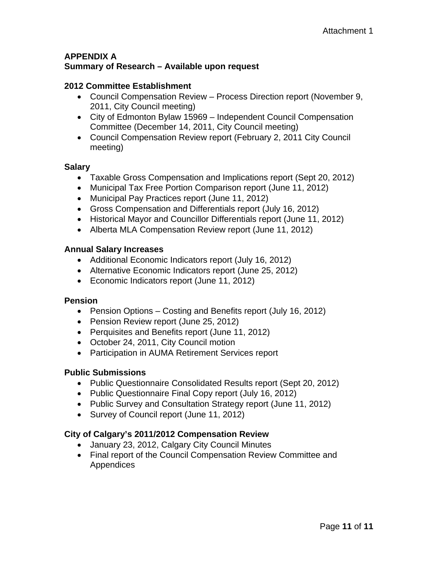#### **APPENDIX A Summary of Research – Available upon request**

#### **2012 Committee Establishment**

- Council Compensation Review Process Direction report (November 9, 2011, City Council meeting)
- City of Edmonton Bylaw 15969 Independent Council Compensation Committee (December 14, 2011, City Council meeting)
- Council Compensation Review report (February 2, 2011 City Council meeting)

#### **Salary**

- Taxable Gross Compensation and Implications report (Sept 20, 2012)
- Municipal Tax Free Portion Comparison report (June 11, 2012)
- Municipal Pay Practices report (June 11, 2012)
- Gross Compensation and Differentials report (July 16, 2012)
- Historical Mayor and Councillor Differentials report (June 11, 2012)
- Alberta MLA Compensation Review report (June 11, 2012)

#### **Annual Salary Increases**

- Additional Economic Indicators report (July 16, 2012)
- Alternative Economic Indicators report (June 25, 2012)
- Economic Indicators report (June 11, 2012)

#### **Pension**

- Pension Options Costing and Benefits report (July 16, 2012)
- Pension Review report (June 25, 2012)
- Perquisites and Benefits report (June 11, 2012)
- October 24, 2011, City Council motion
- Participation in AUMA Retirement Services report

#### **Public Submissions**

- Public Questionnaire Consolidated Results report (Sept 20, 2012)
- Public Questionnaire Final Copy report (July 16, 2012)
- Public Survey and Consultation Strategy report (June 11, 2012)
- Survey of Council report (June 11, 2012)

#### **City of Calgary's 2011/2012 Compensation Review**

- January 23, 2012, Calgary City Council Minutes
- Final report of the Council Compensation Review Committee and Appendices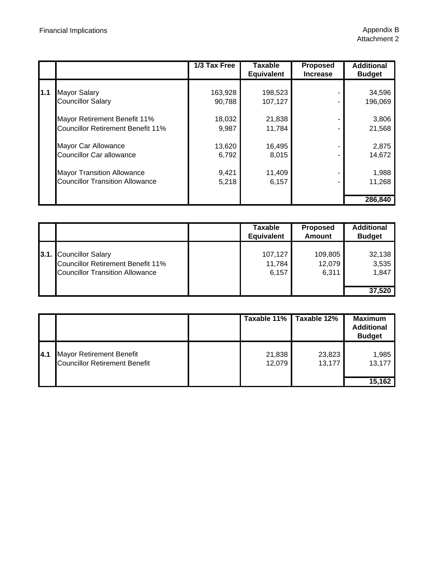|      |                                                                                 | 1/3 Tax Free                | <b>Taxable</b><br><b>Equivalent</b> | <b>Proposed</b><br><b>Increase</b> | <b>Additional</b><br><b>Budget</b> |
|------|---------------------------------------------------------------------------------|-----------------------------|-------------------------------------|------------------------------------|------------------------------------|
| l1.1 | <b>Mayor Salary</b><br><b>Councillor Salary</b><br>Mayor Retirement Benefit 11% | 163,928<br>90,788<br>18,032 | 198,523<br>107,127<br>21,838        |                                    | 34,596<br>196,069<br>3,806         |
|      | <b>Councillor Retirement Benefit 11%</b>                                        | 9,987                       | 11,784                              |                                    | 21,568                             |
|      | Mayor Car Allowance<br><b>Councillor Car allowance</b>                          | 13,620<br>6,792             | 16,495<br>8,015                     |                                    | 2,875<br>14,672                    |
|      | <b>Mayor Transition Allowance</b><br><b>Councillor Transition Allowance</b>     | 9,421<br>5,218              | 11,409<br>6,157                     |                                    | 1,988<br>11,268                    |
|      |                                                                                 |                             |                                     |                                    | 286,840                            |

|                                                                                                              | Taxable<br><b>Equivalent</b> | <b>Proposed</b><br>Amount  | <b>Additional</b><br><b>Budget</b> |
|--------------------------------------------------------------------------------------------------------------|------------------------------|----------------------------|------------------------------------|
| 3.1. Councillor Salary<br><b>Councillor Retirement Benefit 11%</b><br><b>Councillor Transition Allowance</b> | 107,127<br>11,784<br>6,157   | 109,805<br>12,079<br>6.311 | 32,138<br>3,535<br>1,847<br>37,520 |

|      |                                                                         |                  | Taxable 11%   Taxable 12% | <b>Maximum</b><br><b>Additional</b><br><b>Budget</b> |
|------|-------------------------------------------------------------------------|------------------|---------------------------|------------------------------------------------------|
| 14.1 | <b>Mayor Retirement Benefit</b><br><b>Councillor Retirement Benefit</b> | 21,838<br>12,079 | 23,823<br>13,177          | 1,985<br>13,177                                      |
|      |                                                                         |                  |                           | 15,162                                               |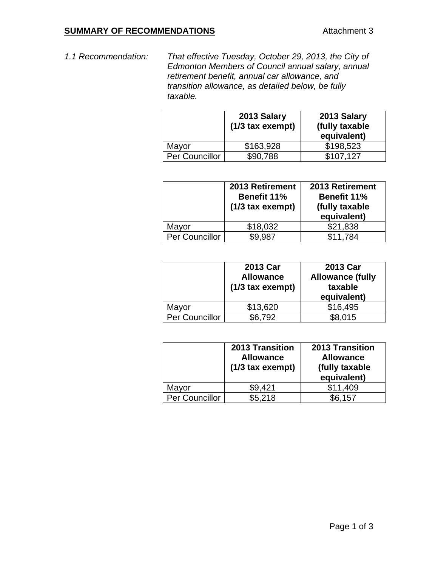#### **SUMMARY OF RECOMMENDATIONS Attachment 3**

*1.1 Recommendation: That effective Tuesday, October 29, 2013, the City of Edmonton Members of Council annual salary, annual retirement benefit, annual car allowance, and transition allowance, as detailed below, be fully taxable.* 

|                | 2013 Salary<br>$(1/3$ tax exempt) | 2013 Salary<br>(fully taxable<br>equivalent) |
|----------------|-----------------------------------|----------------------------------------------|
| Mayor          | \$163,928                         | \$198,523                                    |
| Per Councillor | \$90,788                          | \$107.127                                    |

|                | 2013 Retirement<br><b>Benefit 11%</b><br>$(1/3$ tax exempt) | 2013 Retirement<br><b>Benefit 11%</b><br>(fully taxable<br>equivalent) |
|----------------|-------------------------------------------------------------|------------------------------------------------------------------------|
| Mayor          | \$18,032                                                    | \$21,838                                                               |
| Per Councillor | \$9,987                                                     | \$11,784                                                               |

|                | 2013 Car<br><b>Allowance</b><br>$(1/3$ tax exempt) | 2013 Car<br><b>Allowance (fully</b><br>taxable<br>equivalent) |
|----------------|----------------------------------------------------|---------------------------------------------------------------|
| Mayor          | \$13,620                                           | \$16,495                                                      |
| Per Councillor | \$6,792                                            | \$8,015                                                       |

|                | 2013 Transition<br><b>Allowance</b><br>(1/3 tax exempt) | <b>2013 Transition</b><br><b>Allowance</b><br>(fully taxable<br>equivalent) |
|----------------|---------------------------------------------------------|-----------------------------------------------------------------------------|
| Mayor          | \$9,421                                                 | \$11,409                                                                    |
| Per Councillor | \$5,218                                                 | \$6,157                                                                     |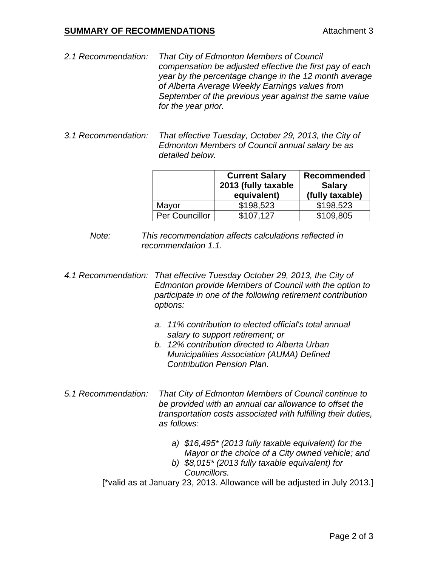#### **SUMMARY OF RECOMMENDATIONS Attachment 3**

- *2.1 Recommendation: That City of Edmonton Members of Council compensation be adjusted effective the first pay of each year by the percentage change in the 12 month average of Alberta Average Weekly Earnings values from September of the previous year against the same value for the year prior.*
- *3.1 Recommendation: That effective Tuesday, October 29, 2013, the City of Edmonton Members of Council annual salary be as detailed below.*

|                | <b>Current Salary</b><br>2013 (fully taxable<br>equivalent) | <b>Recommended</b><br><b>Salary</b><br>(fully taxable) |
|----------------|-------------------------------------------------------------|--------------------------------------------------------|
| Mayor          | \$198,523                                                   | \$198,523                                              |
| Per Councillor | \$107.127                                                   | \$109,805                                              |

- *Note: This recommendation affects calculations reflected in recommendation 1.1.*
- *4.1 Recommendation: That effective Tuesday October 29, 2013, the City of Edmonton provide Members of Council with the option to participate in one of the following retirement contribution options:* 
	- *a. 11% contribution to elected official's total annual salary to support retirement; or*
	- *b. 12% contribution directed to Alberta Urban Municipalities Association (AUMA) Defined Contribution Pension Plan.*
- *5.1 Recommendation: That City of Edmonton Members of Council continue to be provided with an annual car allowance to offset the transportation costs associated with fulfilling their duties, as follows:* 
	- *a) \$16,495\* (2013 fully taxable equivalent) for the Mayor or the choice of a City owned vehicle; and*
	- *b) \$8,015\* (2013 fully taxable equivalent) for Councillors.*

[\*valid as at January 23, 2013. Allowance will be adjusted in July 2013.]